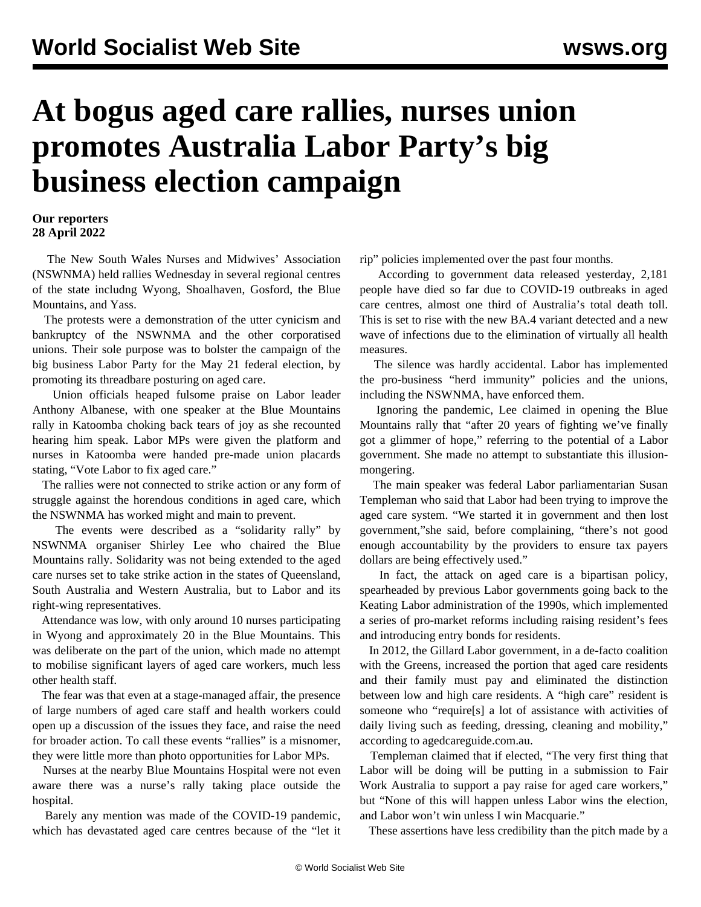## **At bogus aged care rallies, nurses union promotes Australia Labor Party's big business election campaign**

## **Our reporters 28 April 2022**

 The New South Wales Nurses and Midwives' Association (NSWNMA) held rallies Wednesday in several regional centres of the state includng Wyong, Shoalhaven, Gosford, the Blue Mountains, and Yass.

 The protests were a demonstration of the utter cynicism and bankruptcy of the NSWNMA and the other corporatised unions. Their sole purpose was to bolster the campaign of the big business Labor Party for the May 21 federal election, by promoting its threadbare posturing on aged care.

 Union officials heaped fulsome praise on Labor leader Anthony Albanese, with one speaker at the Blue Mountains rally in Katoomba choking back tears of joy as she recounted hearing him speak. Labor MPs were given the platform and nurses in Katoomba were handed pre-made union placards stating, "Vote Labor to fix aged care."

 The rallies were not connected to strike action or any form of struggle against the horendous conditions in aged care, which the NSWNMA has worked might and main to prevent.

 The events were described as a "solidarity rally" by NSWNMA organiser Shirley Lee who chaired the Blue Mountains rally. Solidarity was not being extended to the aged care nurses set to take strike action in the states of Queensland, South Australia and Western Australia, but to Labor and its right-wing representatives.

 Attendance was low, with only around 10 nurses participating in Wyong and approximately 20 in the Blue Mountains. This was deliberate on the part of the union, which made no attempt to mobilise significant layers of aged care workers, much less other health staff.

 The fear was that even at a stage-managed affair, the presence of large numbers of aged care staff and health workers could open up a discussion of the issues they face, and raise the need for broader action. To call these events "rallies" is a misnomer, they were little more than photo opportunities for Labor MPs.

 Nurses at the nearby Blue Mountains Hospital were not even aware there was a nurse's rally taking place outside the hospital.

 Barely any mention was made of the COVID-19 pandemic, which has devastated aged care centres because of the "let it rip" policies implemented over the past four months.

 According to government data released yesterday, 2,181 people have died so far due to COVID-19 outbreaks in aged care centres, almost one third of Australia's total death toll. This is set to rise with the new BA.4 variant detected and a new wave of infections due to the elimination of virtually all health measures.

 The silence was hardly accidental. Labor has implemented the pro-business "herd immunity" policies and the unions, including the NSWNMA, have enforced them.

 Ignoring the pandemic, Lee claimed in opening the Blue Mountains rally that "after 20 years of fighting we've finally got a glimmer of hope," referring to the potential of a Labor government. She made no attempt to substantiate this illusionmongering.

 The main speaker was federal Labor parliamentarian Susan Templeman who said that Labor had been trying to improve the aged care system. "We started it in government and then lost government,"she said, before complaining, "there's not good enough accountability by the providers to ensure tax payers dollars are being effectively used."

 In fact, the attack on aged care is a bipartisan policy, spearheaded by previous Labor governments going back to the Keating Labor administration of the 1990s, which implemented a series of pro-market reforms including raising resident's fees and introducing entry bonds for residents.

 In 2012, the Gillard Labor government, in a de-facto coalition with the Greens, increased the portion that aged care residents and their family must pay and eliminated the distinction between low and high care residents. A "high care" resident is someone who "require[s] a lot of assistance with activities of daily living such as feeding, dressing, cleaning and mobility," according to agedcareguide.com.au.

 Templeman claimed that if elected, "The very first thing that Labor will be doing will be putting in a submission to Fair Work Australia to support a pay raise for aged care workers," but "None of this will happen unless Labor wins the election, and Labor won't win unless I win Macquarie."

These assertions have less credibility than the pitch made by a